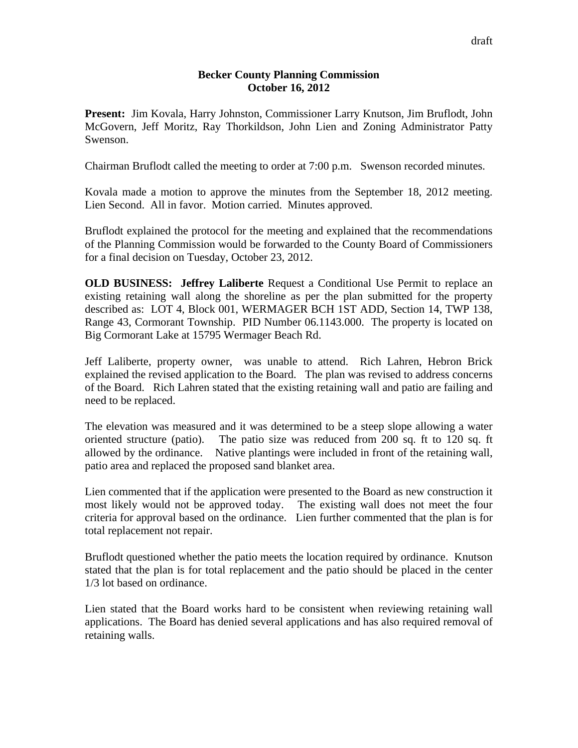## **Becker County Planning Commission October 16, 2012**

**Present:** Jim Kovala, Harry Johnston, Commissioner Larry Knutson, Jim Bruflodt, John McGovern, Jeff Moritz, Ray Thorkildson, John Lien and Zoning Administrator Patty Swenson.

Chairman Bruflodt called the meeting to order at 7:00 p.m. Swenson recorded minutes.

Kovala made a motion to approve the minutes from the September 18, 2012 meeting. Lien Second. All in favor. Motion carried. Minutes approved.

Bruflodt explained the protocol for the meeting and explained that the recommendations of the Planning Commission would be forwarded to the County Board of Commissioners for a final decision on Tuesday, October 23, 2012.

**OLD BUSINESS: Jeffrey Laliberte** Request a Conditional Use Permit to replace an existing retaining wall along the shoreline as per the plan submitted for the property described as: LOT 4, Block 001, WERMAGER BCH 1ST ADD, Section 14, TWP 138, Range 43, Cormorant Township. PID Number 06.1143.000. The property is located on Big Cormorant Lake at 15795 Wermager Beach Rd.

Jeff Laliberte, property owner, was unable to attend. Rich Lahren, Hebron Brick explained the revised application to the Board. The plan was revised to address concerns of the Board. Rich Lahren stated that the existing retaining wall and patio are failing and need to be replaced.

The elevation was measured and it was determined to be a steep slope allowing a water oriented structure (patio). The patio size was reduced from 200 sq. ft to 120 sq. ft allowed by the ordinance. Native plantings were included in front of the retaining wall, patio area and replaced the proposed sand blanket area.

Lien commented that if the application were presented to the Board as new construction it most likely would not be approved today. The existing wall does not meet the four criteria for approval based on the ordinance. Lien further commented that the plan is for total replacement not repair.

Bruflodt questioned whether the patio meets the location required by ordinance. Knutson stated that the plan is for total replacement and the patio should be placed in the center 1/3 lot based on ordinance.

Lien stated that the Board works hard to be consistent when reviewing retaining wall applications. The Board has denied several applications and has also required removal of retaining walls.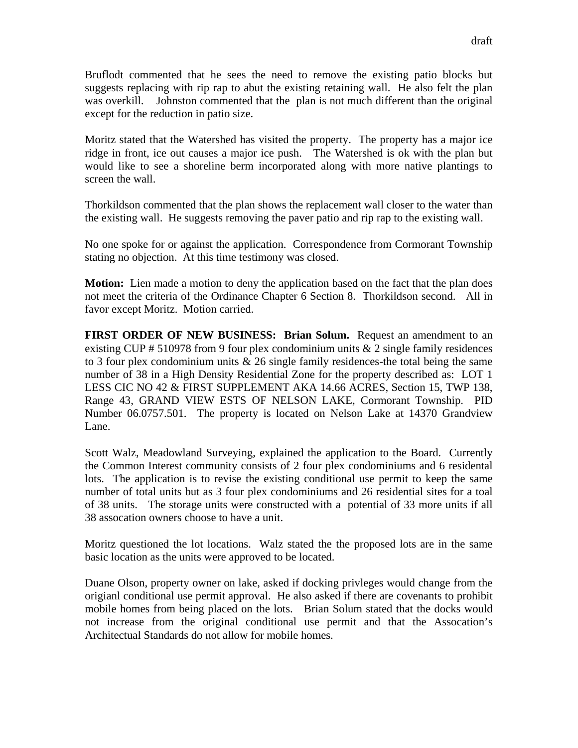Bruflodt commented that he sees the need to remove the existing patio blocks but suggests replacing with rip rap to abut the existing retaining wall. He also felt the plan was overkill. Johnston commented that the plan is not much different than the original except for the reduction in patio size.

Moritz stated that the Watershed has visited the property. The property has a major ice ridge in front, ice out causes a major ice push. The Watershed is ok with the plan but would like to see a shoreline berm incorporated along with more native plantings to screen the wall.

Thorkildson commented that the plan shows the replacement wall closer to the water than the existing wall. He suggests removing the paver patio and rip rap to the existing wall.

No one spoke for or against the application. Correspondence from Cormorant Township stating no objection. At this time testimony was closed.

**Motion:** Lien made a motion to deny the application based on the fact that the plan does not meet the criteria of the Ordinance Chapter 6 Section 8. Thorkildson second. All in favor except Moritz. Motion carried.

**FIRST ORDER OF NEW BUSINESS: Brian Solum.** Request an amendment to an existing CUP # 510978 from 9 four plex condominium units  $\&$  2 single family residences to 3 four plex condominium units  $\&$  26 single family residences-the total being the same number of 38 in a High Density Residential Zone for the property described as: LOT 1 LESS CIC NO 42 & FIRST SUPPLEMENT AKA 14.66 ACRES, Section 15, TWP 138, Range 43, GRAND VIEW ESTS OF NELSON LAKE, Cormorant Township. PID Number 06.0757.501. The property is located on Nelson Lake at 14370 Grandview Lane.

Scott Walz, Meadowland Surveying, explained the application to the Board. Currently the Common Interest community consists of 2 four plex condominiums and 6 residental lots. The application is to revise the existing conditional use permit to keep the same number of total units but as 3 four plex condominiums and 26 residential sites for a toal of 38 units. The storage units were constructed with a potential of 33 more units if all 38 assocation owners choose to have a unit.

Moritz questioned the lot locations. Walz stated the the proposed lots are in the same basic location as the units were approved to be located.

Duane Olson, property owner on lake, asked if docking privleges would change from the origianl conditional use permit approval. He also asked if there are covenants to prohibit mobile homes from being placed on the lots. Brian Solum stated that the docks would not increase from the original conditional use permit and that the Assocation's Architectual Standards do not allow for mobile homes.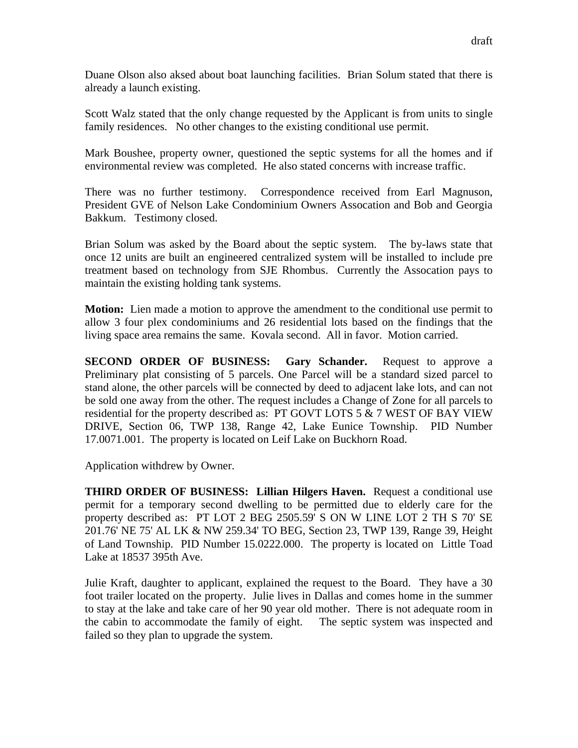Duane Olson also aksed about boat launching facilities. Brian Solum stated that there is already a launch existing.

Scott Walz stated that the only change requested by the Applicant is from units to single family residences. No other changes to the existing conditional use permit.

Mark Boushee, property owner, questioned the septic systems for all the homes and if environmental review was completed. He also stated concerns with increase traffic.

There was no further testimony. Correspondence received from Earl Magnuson, President GVE of Nelson Lake Condominium Owners Assocation and Bob and Georgia Bakkum. Testimony closed.

Brian Solum was asked by the Board about the septic system. The by-laws state that once 12 units are built an engineered centralized system will be installed to include pre treatment based on technology from SJE Rhombus. Currently the Assocation pays to maintain the existing holding tank systems.

**Motion:** Lien made a motion to approve the amendment to the conditional use permit to allow 3 four plex condominiums and 26 residential lots based on the findings that the living space area remains the same. Kovala second. All in favor. Motion carried.

**SECOND ORDER OF BUSINESS: Gary Schander.** Request to approve a Preliminary plat consisting of 5 parcels. One Parcel will be a standard sized parcel to stand alone, the other parcels will be connected by deed to adjacent lake lots, and can not be sold one away from the other. The request includes a Change of Zone for all parcels to residential for the property described as: PT GOVT LOTS 5 & 7 WEST OF BAY VIEW DRIVE, Section 06, TWP 138, Range 42, Lake Eunice Township. PID Number 17.0071.001. The property is located on Leif Lake on Buckhorn Road.

Application withdrew by Owner.

**THIRD ORDER OF BUSINESS: Lillian Hilgers Haven.** Request a conditional use permit for a temporary second dwelling to be permitted due to elderly care for the property described as: PT LOT 2 BEG 2505.59' S ON W LINE LOT 2 TH S 70' SE 201.76' NE 75' AL LK & NW 259.34' TO BEG, Section 23, TWP 139, Range 39, Height of Land Township. PID Number 15.0222.000. The property is located on Little Toad Lake at 18537 395th Ave.

Julie Kraft, daughter to applicant, explained the request to the Board. They have a 30 foot trailer located on the property. Julie lives in Dallas and comes home in the summer to stay at the lake and take care of her 90 year old mother. There is not adequate room in the cabin to accommodate the family of eight. The septic system was inspected and failed so they plan to upgrade the system.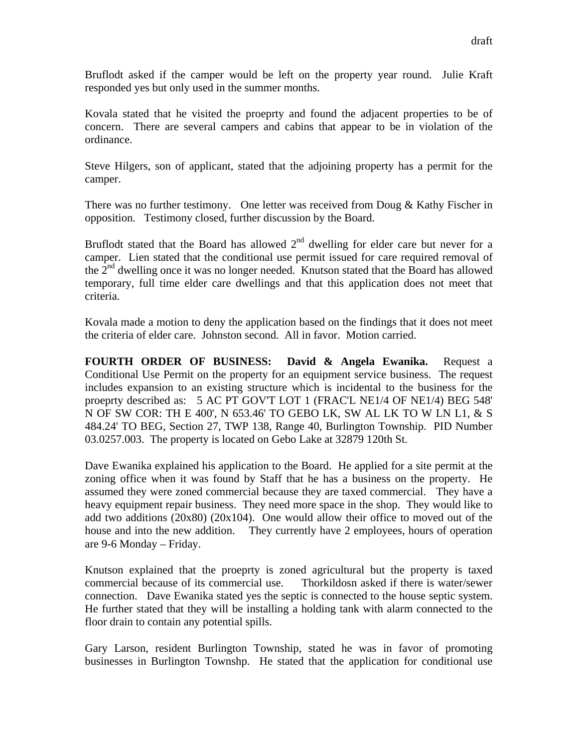Bruflodt asked if the camper would be left on the property year round. Julie Kraft responded yes but only used in the summer months.

Kovala stated that he visited the proeprty and found the adjacent properties to be of concern. There are several campers and cabins that appear to be in violation of the ordinance.

Steve Hilgers, son of applicant, stated that the adjoining property has a permit for the camper.

There was no further testimony. One letter was received from Doug  $\&$  Kathy Fischer in opposition. Testimony closed, further discussion by the Board.

Bruflodt stated that the Board has allowed  $2<sup>nd</sup>$  dwelling for elder care but never for a camper. Lien stated that the conditional use permit issued for care required removal of the  $2<sup>nd</sup>$  dwelling once it was no longer needed. Knutson stated that the Board has allowed temporary, full time elder care dwellings and that this application does not meet that criteria.

Kovala made a motion to deny the application based on the findings that it does not meet the criteria of elder care. Johnston second. All in favor. Motion carried.

**FOURTH ORDER OF BUSINESS: David & Angela Ewanika.** Request a Conditional Use Permit on the property for an equipment service business. The request includes expansion to an existing structure which is incidental to the business for the proeprty described as: 5 AC PT GOV'T LOT 1 (FRAC'L NE1/4 OF NE1/4) BEG 548' N OF SW COR: TH E 400', N 653.46' TO GEBO LK, SW AL LK TO W LN L1, & S 484.24' TO BEG, Section 27, TWP 138, Range 40, Burlington Township. PID Number 03.0257.003. The property is located on Gebo Lake at 32879 120th St.

Dave Ewanika explained his application to the Board. He applied for a site permit at the zoning office when it was found by Staff that he has a business on the property. He assumed they were zoned commercial because they are taxed commercial. They have a heavy equipment repair business. They need more space in the shop. They would like to add two additions  $(20x80)$   $(20x104)$ . One would allow their office to moved out of the house and into the new addition. They currently have 2 employees, hours of operation are 9-6 Monday – Friday.

Knutson explained that the proeprty is zoned agricultural but the property is taxed commercial because of its commercial use. Thorkildosn asked if there is water/sewer connection. Dave Ewanika stated yes the septic is connected to the house septic system. He further stated that they will be installing a holding tank with alarm connected to the floor drain to contain any potential spills.

Gary Larson, resident Burlington Township, stated he was in favor of promoting businesses in Burlington Townshp. He stated that the application for conditional use